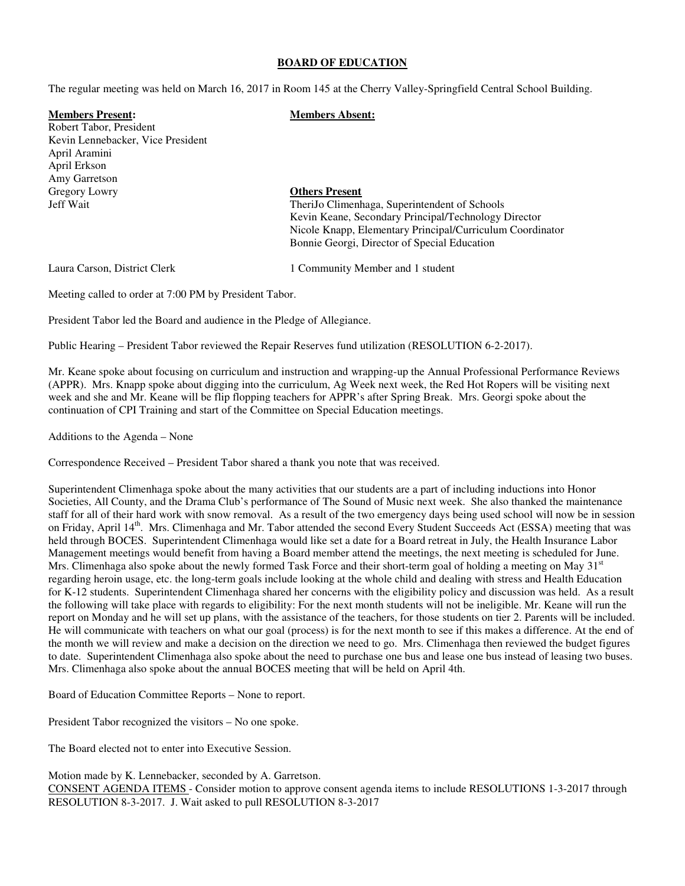#### **BOARD OF EDUCATION**

The regular meeting was held on March 16, 2017 in Room 145 at the Cherry Valley-Springfield Central School Building.

#### **Members Present: Members Absent:**

Robert Tabor, President Kevin Lennebacker, Vice President April Aramini April Erkson Amy Garretson Gregory Lowry **Others Present**

# Jeff Wait TheriJo Climenhaga, Superintendent of Schools Kevin Keane, Secondary Principal/Technology Director Nicole Knapp, Elementary Principal/Curriculum Coordinator Bonnie Georgi, Director of Special Education

Laura Carson, District Clerk 1 Community Member and 1 student

Meeting called to order at 7:00 PM by President Tabor.

President Tabor led the Board and audience in the Pledge of Allegiance.

Public Hearing – President Tabor reviewed the Repair Reserves fund utilization (RESOLUTION 6-2-2017).

Mr. Keane spoke about focusing on curriculum and instruction and wrapping-up the Annual Professional Performance Reviews (APPR). Mrs. Knapp spoke about digging into the curriculum, Ag Week next week, the Red Hot Ropers will be visiting next week and she and Mr. Keane will be flip flopping teachers for APPR's after Spring Break. Mrs. Georgi spoke about the continuation of CPI Training and start of the Committee on Special Education meetings.

Additions to the Agenda – None

Correspondence Received – President Tabor shared a thank you note that was received.

Superintendent Climenhaga spoke about the many activities that our students are a part of including inductions into Honor Societies, All County, and the Drama Club's performance of The Sound of Music next week. She also thanked the maintenance staff for all of their hard work with snow removal. As a result of the two emergency days being used school will now be in session on Friday, April 14<sup>th</sup>. Mrs. Climenhaga and Mr. Tabor attended the second Every Student Succeeds Act (ESSA) meeting that was held through BOCES. Superintendent Climenhaga would like set a date for a Board retreat in July, the Health Insurance Labor Management meetings would benefit from having a Board member attend the meetings, the next meeting is scheduled for June. Mrs. Climenhaga also spoke about the newly formed Task Force and their short-term goal of holding a meeting on May  $31<sup>st</sup>$ regarding heroin usage, etc. the long-term goals include looking at the whole child and dealing with stress and Health Education for K-12 students. Superintendent Climenhaga shared her concerns with the eligibility policy and discussion was held. As a result the following will take place with regards to eligibility: For the next month students will not be ineligible. Mr. Keane will run the report on Monday and he will set up plans, with the assistance of the teachers, for those students on tier 2. Parents will be included. He will communicate with teachers on what our goal (process) is for the next month to see if this makes a difference. At the end of the month we will review and make a decision on the direction we need to go. Mrs. Climenhaga then reviewed the budget figures to date. Superintendent Climenhaga also spoke about the need to purchase one bus and lease one bus instead of leasing two buses. Mrs. Climenhaga also spoke about the annual BOCES meeting that will be held on April 4th.

Board of Education Committee Reports – None to report.

President Tabor recognized the visitors – No one spoke.

The Board elected not to enter into Executive Session.

Motion made by K. Lennebacker, seconded by A. Garretson. CONSENT AGENDA ITEMS - Consider motion to approve consent agenda items to include RESOLUTIONS 1-3-2017 through RESOLUTION 8-3-2017. J. Wait asked to pull RESOLUTION 8-3-2017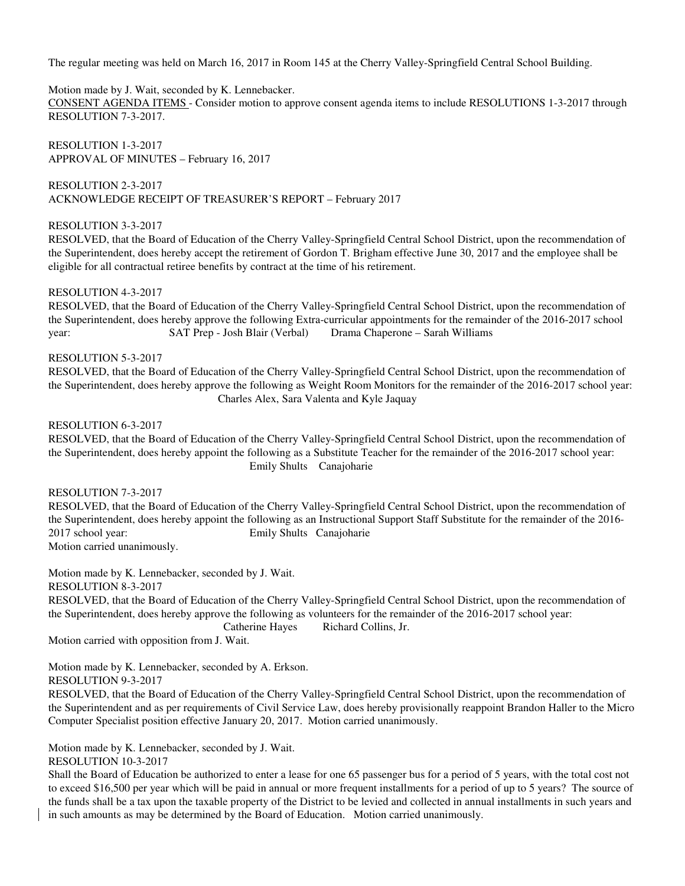The regular meeting was held on March 16, 2017 in Room 145 at the Cherry Valley-Springfield Central School Building.

Motion made by J. Wait, seconded by K. Lennebacker.

CONSENT AGENDA ITEMS - Consider motion to approve consent agenda items to include RESOLUTIONS 1-3-2017 through RESOLUTION 7-3-2017.

RESOLUTION 1-3-2017 APPROVAL OF MINUTES – February 16, 2017

RESOLUTION 2-3-2017 ACKNOWLEDGE RECEIPT OF TREASURER'S REPORT – February 2017

# RESOLUTION 3-3-2017

RESOLVED, that the Board of Education of the Cherry Valley-Springfield Central School District, upon the recommendation of the Superintendent, does hereby accept the retirement of Gordon T. Brigham effective June 30, 2017 and the employee shall be eligible for all contractual retiree benefits by contract at the time of his retirement.

## RESOLUTION 4-3-2017

 RESOLVED, that the Board of Education of the Cherry Valley-Springfield Central School District, upon the recommendation of the Superintendent, does hereby approve the following Extra-curricular appointments for the remainder of the 2016-2017 school year: SAT Prep - Josh Blair (Verbal) Drama Chaperone – Sarah Williams

## RESOLUTION 5-3-2017

 RESOLVED, that the Board of Education of the Cherry Valley-Springfield Central School District, upon the recommendation of the Superintendent, does hereby approve the following as Weight Room Monitors for the remainder of the 2016-2017 school year: Charles Alex, Sara Valenta and Kyle Jaquay

RESOLUTION 6-3-2017

 RESOLVED, that the Board of Education of the Cherry Valley-Springfield Central School District, upon the recommendation of the Superintendent, does hereby appoint the following as a Substitute Teacher for the remainder of the 2016-2017 school year: Emily Shults Canajoharie

## RESOLUTION 7-3-2017

 RESOLVED, that the Board of Education of the Cherry Valley-Springfield Central School District, upon the recommendation of the Superintendent, does hereby appoint the following as an Instructional Support Staff Substitute for the remainder of the 2016- 2017 school year: Emily Shults Canajoharie

Motion carried unanimously.

Motion made by K. Lennebacker, seconded by J. Wait.

RESOLUTION 8-3-2017

 RESOLVED, that the Board of Education of the Cherry Valley-Springfield Central School District, upon the recommendation of the Superintendent, does hereby approve the following as volunteers for the remainder of the 2016-2017 school year:

Catherine Hayes Richard Collins, Jr.

Motion carried with opposition from J. Wait.

Motion made by K. Lennebacker, seconded by A. Erkson.

RESOLUTION 9-3-2017

RESOLVED, that the Board of Education of the Cherry Valley-Springfield Central School District, upon the recommendation of the Superintendent and as per requirements of Civil Service Law, does hereby provisionally reappoint Brandon Haller to the Micro Computer Specialist position effective January 20, 2017. Motion carried unanimously.

Motion made by K. Lennebacker, seconded by J. Wait.

RESOLUTION 10-3-2017

Shall the Board of Education be authorized to enter a lease for one 65 passenger bus for a period of 5 years, with the total cost not to exceed \$16,500 per year which will be paid in annual or more frequent installments for a period of up to 5 years? The source of the funds shall be a tax upon the taxable property of the District to be levied and collected in annual installments in such years and in such amounts as may be determined by the Board of Education. Motion carried unanimously.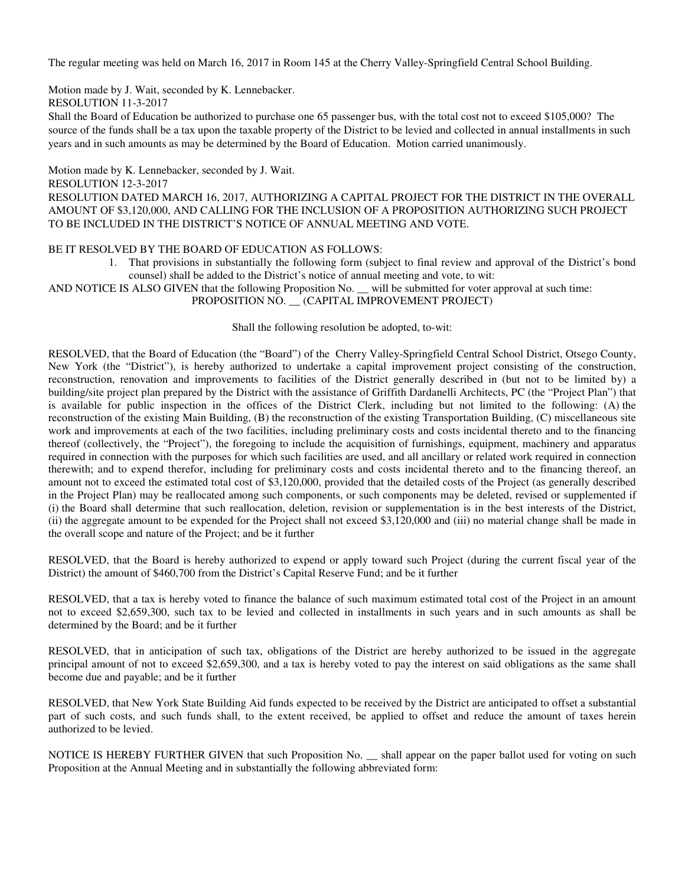The regular meeting was held on March 16, 2017 in Room 145 at the Cherry Valley-Springfield Central School Building.

Motion made by J. Wait, seconded by K. Lennebacker.

RESOLUTION 11-3-2017

Shall the Board of Education be authorized to purchase one 65 passenger bus, with the total cost not to exceed \$105,000? The source of the funds shall be a tax upon the taxable property of the District to be levied and collected in annual installments in such years and in such amounts as may be determined by the Board of Education. Motion carried unanimously.

Motion made by K. Lennebacker, seconded by J. Wait.

RESOLUTION 12-3-2017

RESOLUTION DATED MARCH 16, 2017, AUTHORIZING A CAPITAL PROJECT FOR THE DISTRICT IN THE OVERALL AMOUNT OF \$3,120,000, AND CALLING FOR THE INCLUSION OF A PROPOSITION AUTHORIZING SUCH PROJECT TO BE INCLUDED IN THE DISTRICT'S NOTICE OF ANNUAL MEETING AND VOTE.

# BE IT RESOLVED BY THE BOARD OF EDUCATION AS FOLLOWS:

1. That provisions in substantially the following form (subject to final review and approval of the District's bond counsel) shall be added to the District's notice of annual meeting and vote, to wit:

AND NOTICE IS ALSO GIVEN that the following Proposition No. \_\_ will be submitted for voter approval at such time: PROPOSITION NO. \_\_ (CAPITAL IMPROVEMENT PROJECT)

#### Shall the following resolution be adopted, to-wit:

RESOLVED, that the Board of Education (the "Board") of the Cherry Valley-Springfield Central School District, Otsego County, New York (the "District"), is hereby authorized to undertake a capital improvement project consisting of the construction, reconstruction, renovation and improvements to facilities of the District generally described in (but not to be limited by) a building/site project plan prepared by the District with the assistance of Griffith Dardanelli Architects, PC (the "Project Plan") that is available for public inspection in the offices of the District Clerk, including but not limited to the following: (A) the reconstruction of the existing Main Building, (B) the reconstruction of the existing Transportation Building, (C) miscellaneous site work and improvements at each of the two facilities, including preliminary costs and costs incidental thereto and to the financing thereof (collectively, the "Project"), the foregoing to include the acquisition of furnishings, equipment, machinery and apparatus required in connection with the purposes for which such facilities are used, and all ancillary or related work required in connection therewith; and to expend therefor, including for preliminary costs and costs incidental thereto and to the financing thereof, an amount not to exceed the estimated total cost of \$3,120,000, provided that the detailed costs of the Project (as generally described in the Project Plan) may be reallocated among such components, or such components may be deleted, revised or supplemented if (i) the Board shall determine that such reallocation, deletion, revision or supplementation is in the best interests of the District, (ii) the aggregate amount to be expended for the Project shall not exceed \$3,120,000 and (iii) no material change shall be made in the overall scope and nature of the Project; and be it further

RESOLVED, that the Board is hereby authorized to expend or apply toward such Project (during the current fiscal year of the District) the amount of \$460,700 from the District's Capital Reserve Fund; and be it further

RESOLVED, that a tax is hereby voted to finance the balance of such maximum estimated total cost of the Project in an amount not to exceed \$2,659,300, such tax to be levied and collected in installments in such years and in such amounts as shall be determined by the Board; and be it further

RESOLVED, that in anticipation of such tax, obligations of the District are hereby authorized to be issued in the aggregate principal amount of not to exceed \$2,659,300, and a tax is hereby voted to pay the interest on said obligations as the same shall become due and payable; and be it further

RESOLVED, that New York State Building Aid funds expected to be received by the District are anticipated to offset a substantial part of such costs, and such funds shall, to the extent received, be applied to offset and reduce the amount of taxes herein authorized to be levied.

NOTICE IS HEREBY FURTHER GIVEN that such Proposition No. \_\_ shall appear on the paper ballot used for voting on such Proposition at the Annual Meeting and in substantially the following abbreviated form: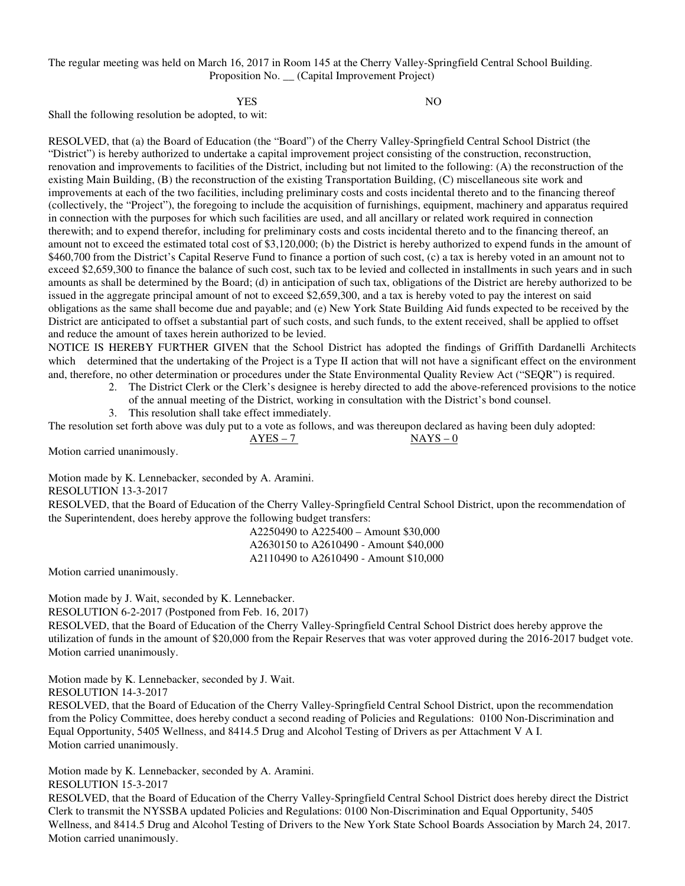The regular meeting was held on March 16, 2017 in Room 145 at the Cherry Valley-Springfield Central School Building. Proposition No. \_\_ (Capital Improvement Project)

YES NO

Shall the following resolution be adopted, to wit:

RESOLVED, that (a) the Board of Education (the "Board") of the Cherry Valley-Springfield Central School District (the "District") is hereby authorized to undertake a capital improvement project consisting of the construction, reconstruction, renovation and improvements to facilities of the District, including but not limited to the following: (A) the reconstruction of the existing Main Building, (B) the reconstruction of the existing Transportation Building, (C) miscellaneous site work and improvements at each of the two facilities, including preliminary costs and costs incidental thereto and to the financing thereof (collectively, the "Project"), the foregoing to include the acquisition of furnishings, equipment, machinery and apparatus required in connection with the purposes for which such facilities are used, and all ancillary or related work required in connection therewith; and to expend therefor, including for preliminary costs and costs incidental thereto and to the financing thereof, an amount not to exceed the estimated total cost of \$3,120,000; (b) the District is hereby authorized to expend funds in the amount of \$460,700 from the District's Capital Reserve Fund to finance a portion of such cost, (c) a tax is hereby voted in an amount not to exceed \$2,659,300 to finance the balance of such cost, such tax to be levied and collected in installments in such years and in such amounts as shall be determined by the Board; (d) in anticipation of such tax, obligations of the District are hereby authorized to be issued in the aggregate principal amount of not to exceed \$2,659,300, and a tax is hereby voted to pay the interest on said obligations as the same shall become due and payable; and (e) New York State Building Aid funds expected to be received by the District are anticipated to offset a substantial part of such costs, and such funds, to the extent received, shall be applied to offset and reduce the amount of taxes herein authorized to be levied.

NOTICE IS HEREBY FURTHER GIVEN that the School District has adopted the findings of Griffith Dardanelli Architects which determined that the undertaking of the Project is a Type II action that will not have a significant effect on the environment and, therefore, no other determination or procedures under the State Environmental Quality Review Act ("SEQR") is required.

2. The District Clerk or the Clerk's designee is hereby directed to add the above-referenced provisions to the notice of the annual meeting of the District, working in consultation with the District's bond counsel.

3. This resolution shall take effect immediately.

The resolution set forth above was duly put to a vote as follows, and was thereupon declared as having been duly adopted:  $AYES - 7$  NAYS – 0

Motion carried unanimously.

Motion made by K. Lennebacker, seconded by A. Aramini. RESOLUTION 13-3-2017

RESOLVED, that the Board of Education of the Cherry Valley-Springfield Central School District, upon the recommendation of the Superintendent, does hereby approve the following budget transfers:

> A2250490 to A225400 – Amount \$30,000 A2630150 to A2610490 - Amount \$40,000 A2110490 to A2610490 - Amount \$10,000

Motion carried unanimously.

Motion made by J. Wait, seconded by K. Lennebacker.

RESOLUTION 6-2-2017 (Postponed from Feb. 16, 2017)

RESOLVED, that the Board of Education of the Cherry Valley-Springfield Central School District does hereby approve the utilization of funds in the amount of \$20,000 from the Repair Reserves that was voter approved during the 2016-2017 budget vote. Motion carried unanimously.

Motion made by K. Lennebacker, seconded by J. Wait.

RESOLUTION 14-3-2017

RESOLVED, that the Board of Education of the Cherry Valley-Springfield Central School District, upon the recommendation from the Policy Committee, does hereby conduct a second reading of Policies and Regulations: 0100 Non-Discrimination and Equal Opportunity, 5405 Wellness, and 8414.5 Drug and Alcohol Testing of Drivers as per Attachment V A I. Motion carried unanimously.

Motion made by K. Lennebacker, seconded by A. Aramini. RESOLUTION 15-3-2017

RESOLVED, that the Board of Education of the Cherry Valley-Springfield Central School District does hereby direct the District Clerk to transmit the NYSSBA updated Policies and Regulations: 0100 Non-Discrimination and Equal Opportunity, 5405 Wellness, and 8414.5 Drug and Alcohol Testing of Drivers to the New York State School Boards Association by March 24, 2017. Motion carried unanimously.